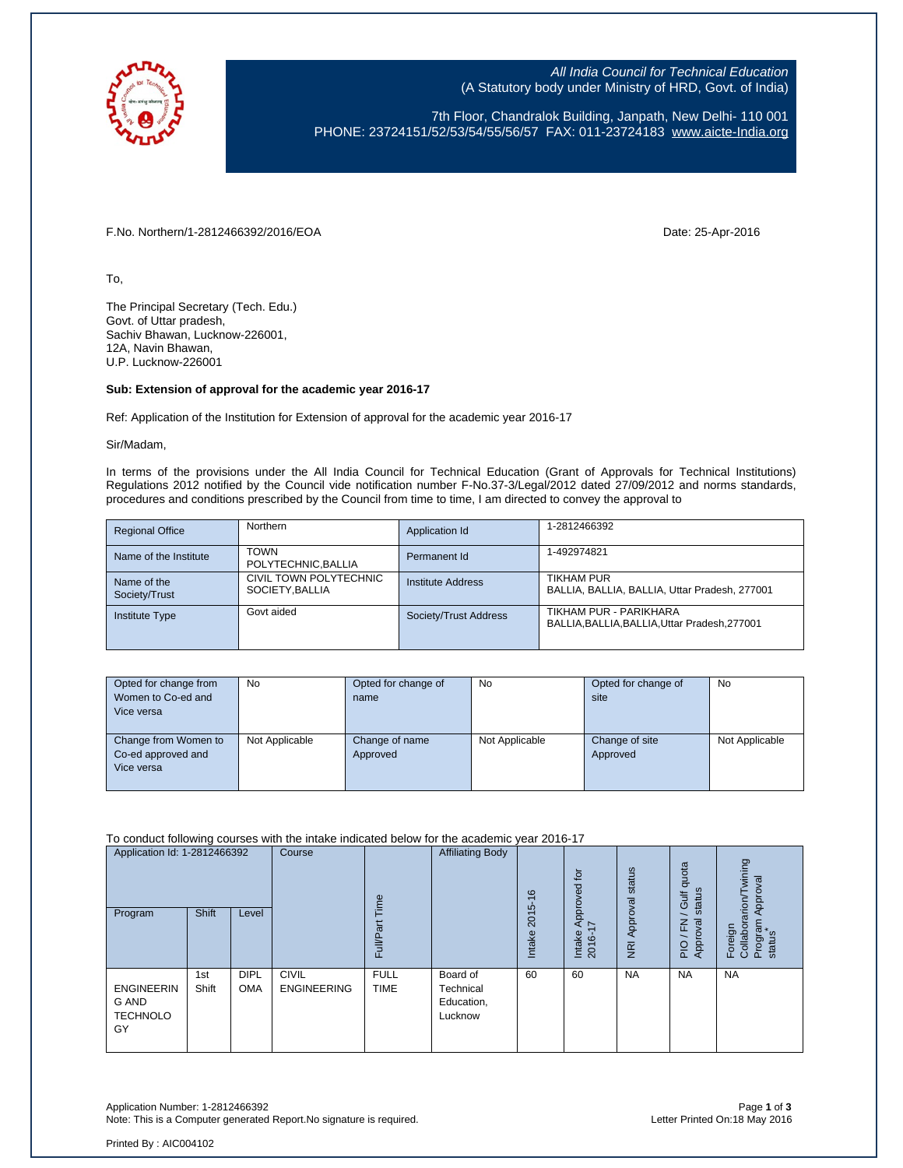

All India Council for Technical Education (A Statutory body under Ministry of HRD, Govt. of India)

7th Floor, Chandralok Building, Janpath, New Delhi- 110 001 PHONE: 23724151/52/53/54/55/56/57 FAX: 011-23724183 [www.aicte-India.org](http://www.aicte-india.org/)

F.No. Northern/1-2812466392/2016/EOA Date: 25-Apr-2016

To,

The Principal Secretary (Tech. Edu.) Govt. of Uttar pradesh, Sachiv Bhawan, Lucknow-226001, 12A, Navin Bhawan, U.P. Lucknow-226001

## **Sub: Extension of approval for the academic year 2016-17**

Ref: Application of the Institution for Extension of approval for the academic year 2016-17

Sir/Madam,

In terms of the provisions under the All India Council for Technical Education (Grant of Approvals for Technical Institutions) Regulations 2012 notified by the Council vide notification number F-No.37-3/Legal/2012 dated 27/09/2012 and norms standards, procedures and conditions prescribed by the Council from time to time, I am directed to convey the approval to

| <b>Regional Office</b>       | <b>Northern</b>                          | Application Id        | 1-2812466392                                                        |
|------------------------------|------------------------------------------|-----------------------|---------------------------------------------------------------------|
| Name of the Institute        | <b>TOWN</b><br>POLYTECHNIC, BALLIA       | Permanent Id          | 1-492974821                                                         |
| Name of the<br>Society/Trust | CIVIL TOWN POLYTECHNIC<br>SOCIETY BALLIA | Institute Address     | TIKHAM PUR<br>BALLIA, BALLIA, BALLIA, Uttar Pradesh, 277001         |
| <b>Institute Type</b>        | Govt aided                               | Society/Trust Address | TIKHAM PUR - PARIKHARA<br>BALLIA.BALLIA.BALLIA.Uttar Pradesh.277001 |

| Opted for change from<br>Women to Co-ed and<br>Vice versa | <b>No</b>      | Opted for change of<br>name | No             | Opted for change of<br>site | <b>No</b>      |
|-----------------------------------------------------------|----------------|-----------------------------|----------------|-----------------------------|----------------|
| Change from Women to<br>Co-ed approved and<br>Vice versa  | Not Applicable | Change of name<br>Approved  | Not Applicable | Change of site<br>Approved  | Not Applicable |

To conduct following courses with the intake indicated below for the academic year 2016-17

| Application Id: 1-2812466392<br>Program                    | Shift        | Level                     | Course                             | Time<br>Full/Part          | <b>Affiliating Body</b>                        | $\frac{6}{5}$<br>2015<br>Intake | Approved for<br>$\ddot{ }$<br>Intake<br>$2016 -$ | status<br>Approval<br>$\overline{R}$ | quota<br>status<br>Gulf<br>roval<br>준<br>Appr<br>PIO | wining<br>Approval<br>Foreign<br>Collaborarion/T<br>Program<br>status |
|------------------------------------------------------------|--------------|---------------------------|------------------------------------|----------------------------|------------------------------------------------|---------------------------------|--------------------------------------------------|--------------------------------------|------------------------------------------------------|-----------------------------------------------------------------------|
| <b>ENGINEERIN</b><br><b>G AND</b><br><b>TECHNOLO</b><br>GY | 1st<br>Shift | <b>DIPL</b><br><b>OMA</b> | <b>CIVIL</b><br><b>ENGINEERING</b> | <b>FULL</b><br><b>TIME</b> | Board of<br>Technical<br>Education,<br>Lucknow | 60                              | 60                                               | <b>NA</b>                            | <b>NA</b>                                            | <b>NA</b>                                                             |

Application Number: 1-2812466392 Page **1** of **3** Note: This is a Computer generated Report. No signature is required.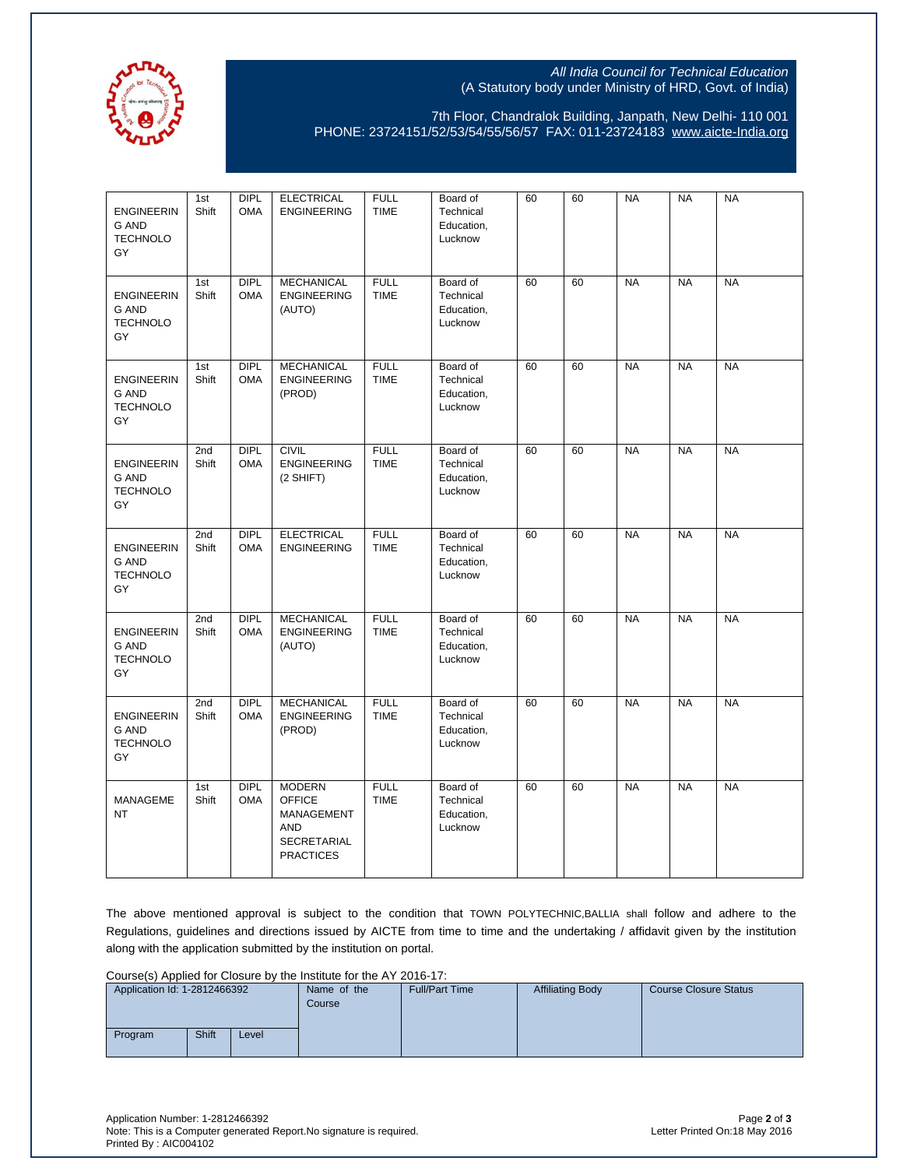

## All India Council for Technical Education (A Statutory body under Ministry of HRD, Govt. of India)

7th Floor, Chandralok Building, Janpath, New Delhi- 110 001 PHONE: 23724151/52/53/54/55/56/57 FAX: 011-23724183 [www.aicte-India.org](http://www.aicte-india.org/)

| <b>ENGINEERIN</b><br><b>G AND</b><br><b>TECHNOLO</b><br>GY | 1st<br>Shift | <b>DIPL</b><br><b>OMA</b> | <b>ELECTRICAL</b><br><b>ENGINEERING</b>                                                       | <b>FULL</b><br><b>TIME</b> | Board of<br>Technical<br>Education,<br>Lucknow | 60 | 60 | <b>NA</b> | <b>NA</b> | <b>NA</b> |
|------------------------------------------------------------|--------------|---------------------------|-----------------------------------------------------------------------------------------------|----------------------------|------------------------------------------------|----|----|-----------|-----------|-----------|
| <b>ENGINEERIN</b><br><b>G AND</b><br><b>TECHNOLO</b><br>GY | 1st<br>Shift | <b>DIPL</b><br><b>OMA</b> | <b>MECHANICAL</b><br><b>ENGINEERING</b><br>(AUTO)                                             | <b>FULL</b><br><b>TIME</b> | Board of<br>Technical<br>Education,<br>Lucknow | 60 | 60 | <b>NA</b> | <b>NA</b> | <b>NA</b> |
| <b>ENGINEERIN</b><br><b>G AND</b><br><b>TECHNOLO</b><br>GY | 1st<br>Shift | <b>DIPL</b><br><b>OMA</b> | <b>MECHANICAL</b><br><b>ENGINEERING</b><br>(PROD)                                             | <b>FULL</b><br><b>TIME</b> | Board of<br>Technical<br>Education,<br>Lucknow | 60 | 60 | <b>NA</b> | <b>NA</b> | <b>NA</b> |
| <b>ENGINEERIN</b><br><b>G AND</b><br><b>TECHNOLO</b><br>GY | 2nd<br>Shift | <b>DIPL</b><br><b>OMA</b> | <b>CIVIL</b><br><b>ENGINEERING</b><br>(2 SHIFT)                                               | <b>FULL</b><br><b>TIME</b> | Board of<br>Technical<br>Education,<br>Lucknow | 60 | 60 | <b>NA</b> | <b>NA</b> | <b>NA</b> |
| <b>ENGINEERIN</b><br><b>G AND</b><br><b>TECHNOLO</b><br>GY | 2nd<br>Shift | <b>DIPL</b><br><b>OMA</b> | <b>ELECTRICAL</b><br><b>ENGINEERING</b>                                                       | <b>FULL</b><br><b>TIME</b> | Board of<br>Technical<br>Education,<br>Lucknow | 60 | 60 | <b>NA</b> | <b>NA</b> | <b>NA</b> |
| <b>ENGINEERIN</b><br><b>G AND</b><br><b>TECHNOLO</b><br>GY | 2nd<br>Shift | <b>DIPL</b><br><b>OMA</b> | <b>MECHANICAL</b><br><b>ENGINEERING</b><br>(AUTO)                                             | <b>FULL</b><br><b>TIME</b> | Board of<br>Technical<br>Education,<br>Lucknow | 60 | 60 | <b>NA</b> | <b>NA</b> | <b>NA</b> |
| <b>ENGINEERIN</b><br><b>G AND</b><br><b>TECHNOLO</b><br>GY | 2nd<br>Shift | <b>DIPL</b><br><b>OMA</b> | <b>MECHANICAL</b><br><b>ENGINEERING</b><br>(PROD)                                             | <b>FULL</b><br><b>TIME</b> | Board of<br>Technical<br>Education,<br>Lucknow | 60 | 60 | <b>NA</b> | <b>NA</b> | <b>NA</b> |
| MANAGEME<br><b>NT</b>                                      | 1st<br>Shift | <b>DIPL</b><br><b>OMA</b> | <b>MODERN</b><br><b>OFFICE</b><br>MANAGEMENT<br><b>AND</b><br>SECRETARIAL<br><b>PRACTICES</b> | <b>FULL</b><br><b>TIME</b> | Board of<br>Technical<br>Education,<br>Lucknow | 60 | 60 | <b>NA</b> | <b>NA</b> | <b>NA</b> |

The above mentioned approval is subject to the condition that TOWN POLYTECHNIC,BALLIA shall follow and adhere to the Regulations, guidelines and directions issued by AICTE from time to time and the undertaking / affidavit given by the institution along with the application submitted by the institution on portal.

Course(s) Applied for Closure by the Institute for the AY 2016-17:

|         | Application Id: 1-2812466392 |       |  | <b>Full/Part Time</b> | <b>Affiliating Body</b> | Course Closure Status |
|---------|------------------------------|-------|--|-----------------------|-------------------------|-----------------------|
| Program | Shift                        | Level |  |                       |                         |                       |